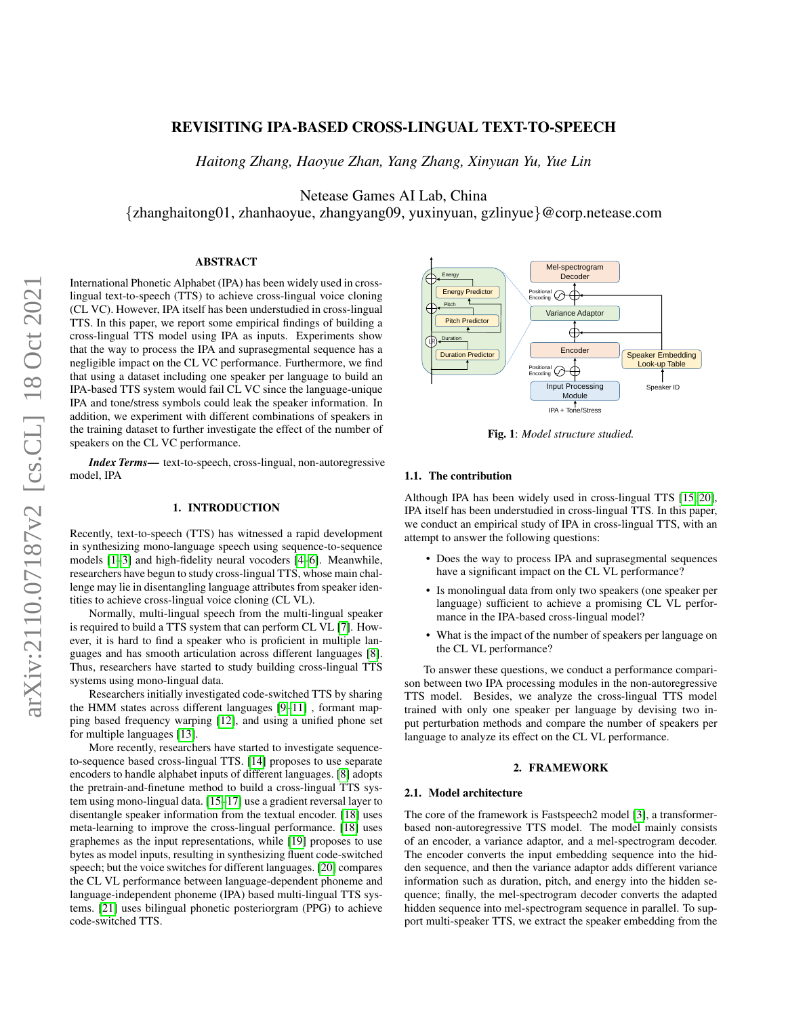# REVISITING IPA-BASED CROSS-LINGUAL TEXT-TO-SPEECH

*Haitong Zhang, Haoyue Zhan, Yang Zhang, Xinyuan Yu, Yue Lin*

Netease Games AI Lab, China

{zhanghaitong01, zhanhaoyue, zhangyang09, yuxinyuan, gzlinyue}@corp.netease.com

# ABSTRACT

International Phonetic Alphabet (IPA) has been widely used in crosslingual text-to-speech (TTS) to achieve cross-lingual voice cloning (CL VC). However, IPA itself has been understudied in cross-lingual TTS. In this paper, we report some empirical findings of building a cross-lingual TTS model using IPA as inputs. Experiments show that the way to process the IPA and suprasegmental sequence has a negligible impact on the CL VC performance. Furthermore, we find that using a dataset including one speaker per language to build an IPA-based TTS system would fail CL VC since the language-unique IPA and tone/stress symbols could leak the speaker information. In addition, we experiment with different combinations of speakers in the training dataset to further investigate the effect of the number of speakers on the CL VC performance.

*Index Terms*— text-to-speech, cross-lingual, non-autoregressive model, IPA

## 1. INTRODUCTION

Recently, text-to-speech (TTS) has witnessed a rapid development in synthesizing mono-language speech using sequence-to-sequence models [\[1–](#page-3-0)[3\]](#page-4-0) and high-fidelity neural vocoders [\[4–](#page-4-1)[6\]](#page-4-2). Meanwhile, researchers have begun to study cross-lingual TTS, whose main challenge may lie in disentangling language attributes from speaker identities to achieve cross-lingual voice cloning (CL VL).

Normally, multi-lingual speech from the multi-lingual speaker is required to build a TTS system that can perform CL VL [\[7\]](#page-4-3). However, it is hard to find a speaker who is proficient in multiple languages and has smooth articulation across different languages [\[8\]](#page-4-4). Thus, researchers have started to study building cross-lingual TTS systems using mono-lingual data.

Researchers initially investigated code-switched TTS by sharing the HMM states across different languages [\[9–](#page-4-5)[11\]](#page-4-6) , formant mapping based frequency warping [\[12\]](#page-4-7), and using a unified phone set for multiple languages [\[13\]](#page-4-8).

More recently, researchers have started to investigate sequenceto-sequence based cross-lingual TTS. [\[14\]](#page-4-9) proposes to use separate encoders to handle alphabet inputs of different languages. [\[8\]](#page-4-4) adopts the pretrain-and-finetune method to build a cross-lingual TTS system using mono-lingual data. [\[15](#page-4-10)[–17\]](#page-4-11) use a gradient reversal layer to disentangle speaker information from the textual encoder. [\[18\]](#page-4-12) uses meta-learning to improve the cross-lingual performance. [\[18\]](#page-4-12) uses graphemes as the input representations, while [\[19\]](#page-4-13) proposes to use bytes as model inputs, resulting in synthesizing fluent code-switched speech; but the voice switches for different languages. [\[20\]](#page-4-14) compares the CL VL performance between language-dependent phoneme and language-independent phoneme (IPA) based multi-lingual TTS systems. [\[21\]](#page-4-15) uses bilingual phonetic posteriorgram (PPG) to achieve code-switched TTS.

<span id="page-0-0"></span>

Fig. 1: *Model structure studied.*

#### 1.1. The contribution

Although IPA has been widely used in cross-lingual TTS [\[15,](#page-4-10) [20\]](#page-4-14), IPA itself has been understudied in cross-lingual TTS. In this paper, we conduct an empirical study of IPA in cross-lingual TTS, with an attempt to answer the following questions:

- Does the way to process IPA and suprasegmental sequences have a significant impact on the CL VL performance?
- Is monolingual data from only two speakers (one speaker per language) sufficient to achieve a promising CL VL performance in the IPA-based cross-lingual model?
- What is the impact of the number of speakers per language on the CL VL performance?

To answer these questions, we conduct a performance comparison between two IPA processing modules in the non-autoregressive TTS model. Besides, we analyze the cross-lingual TTS model trained with only one speaker per language by devising two input perturbation methods and compare the number of speakers per language to analyze its effect on the CL VL performance.

### 2. FRAMEWORK

#### 2.1. Model architecture

The core of the framework is Fastspeech2 model [\[3\]](#page-4-0), a transformerbased non-autoregressive TTS model. The model mainly consists of an encoder, a variance adaptor, and a mel-spectrogram decoder. The encoder converts the input embedding sequence into the hidden sequence, and then the variance adaptor adds different variance information such as duration, pitch, and energy into the hidden sequence; finally, the mel-spectrogram decoder converts the adapted hidden sequence into mel-spectrogram sequence in parallel. To support multi-speaker TTS, we extract the speaker embedding from the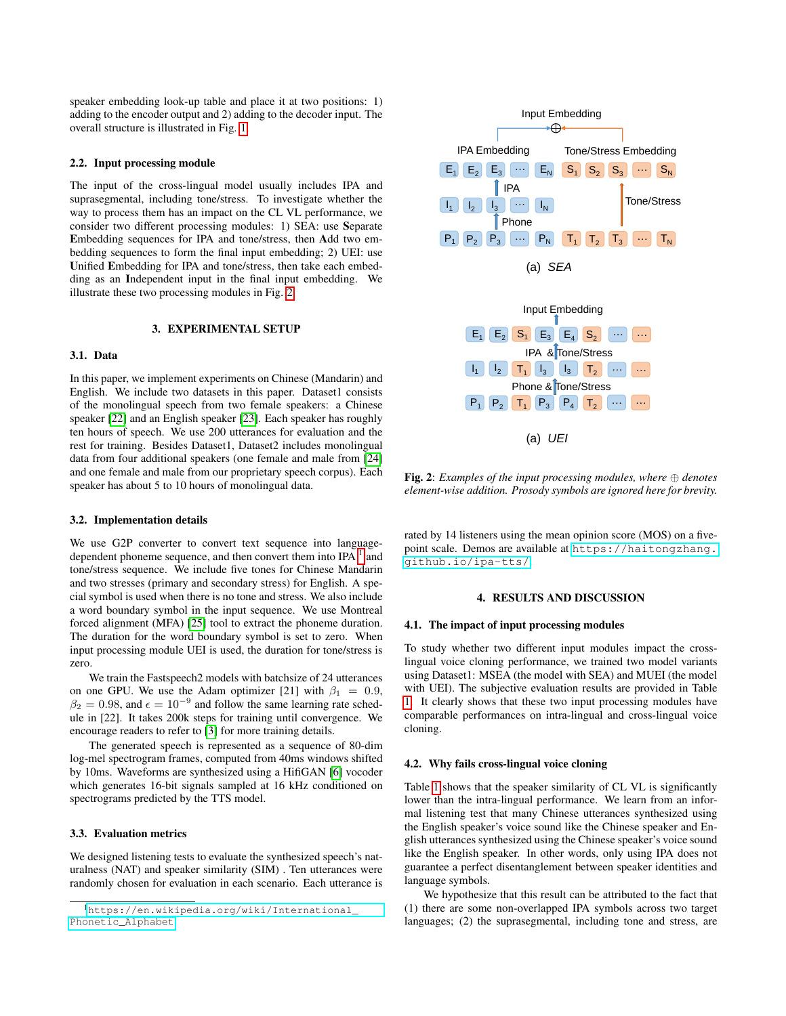speaker embedding look-up table and place it at two positions: 1) adding to the encoder output and 2) adding to the decoder input. The overall structure is illustrated in Fig. [1.](#page-0-0)

### 2.2. Input processing module

The input of the cross-lingual model usually includes IPA and suprasegmental, including tone/stress. To investigate whether the way to process them has an impact on the CL VL performance, we consider two different processing modules: 1) SEA: use Separate Embedding sequences for IPA and tone/stress, then Add two embedding sequences to form the final input embedding; 2) UEI: use Unified Embedding for IPA and tone/stress, then take each embedding as an Independent input in the final input embedding. We illustrate these two processing modules in Fig. [2.](#page-1-0)

### 3. EXPERIMENTAL SETUP

### 3.1. Data

In this paper, we implement experiments on Chinese (Mandarin) and English. We include two datasets in this paper. Dataset1 consists of the monolingual speech from two female speakers: a Chinese speaker [\[22\]](#page-4-16) and an English speaker [\[23\]](#page-4-17). Each speaker has roughly ten hours of speech. We use 200 utterances for evaluation and the rest for training. Besides Dataset1, Dataset2 includes monolingual data from four additional speakers (one female and male from [\[24\]](#page-4-18) and one female and male from our proprietary speech corpus). Each speaker has about 5 to 10 hours of monolingual data.

### 3.2. Implementation details

We use G2P converter to convert text sequence into languagedependent phoneme sequence, and then convert them into IPA  $<sup>1</sup>$  $<sup>1</sup>$  $<sup>1</sup>$  and</sup> tone/stress sequence. We include five tones for Chinese Mandarin and two stresses (primary and secondary stress) for English. A special symbol is used when there is no tone and stress. We also include a word boundary symbol in the input sequence. We use Montreal forced alignment (MFA) [\[25\]](#page-4-19) tool to extract the phoneme duration. The duration for the word boundary symbol is set to zero. When input processing module UEI is used, the duration for tone/stress is zero.

We train the Fastspeech2 models with batchsize of 24 utterances on one GPU. We use the Adam optimizer [21] with  $\beta_1 = 0.9$ ,  $\beta_2 = 0.98$ , and  $\epsilon = 10^{-9}$  and follow the same learning rate schedule in [22]. It takes 200k steps for training until convergence. We encourage readers to refer to [\[3\]](#page-4-0) for more training details.

The generated speech is represented as a sequence of 80-dim log-mel spectrogram frames, computed from 40ms windows shifted by 10ms. Waveforms are synthesized using a HifiGAN [\[6\]](#page-4-2) vocoder which generates 16-bit signals sampled at 16 kHz conditioned on spectrograms predicted by the TTS model.

## 3.3. Evaluation metrics

We designed listening tests to evaluate the synthesized speech's naturalness (NAT) and speaker similarity (SIM) . Ten utterances were randomly chosen for evaluation in each scenario. Each utterance is

<span id="page-1-0"></span>

Fig. 2: *Examples of the input processing modules, where* ⊕ *denotes element-wise addition. Prosody symbols are ignored here for brevity.*

rated by 14 listeners using the mean opinion score (MOS) on a fivepoint scale. Demos are available at [https://haitongzhang.](https://haitongzhang.github.io/ipa-tts/) [github.io/ipa-tts/](https://haitongzhang.github.io/ipa-tts/).

### 4. RESULTS AND DISCUSSION

### <span id="page-1-3"></span>4.1. The impact of input processing modules

To study whether two different input modules impact the crosslingual voice cloning performance, we trained two model variants using Dataset1: MSEA (the model with SEA) and MUEI (the model with UEI). The subjective evaluation results are provided in Table [1.](#page-2-0) It clearly shows that these two input processing modules have comparable performances on intra-lingual and cross-lingual voice cloning.

### <span id="page-1-2"></span>4.2. Why fails cross-lingual voice cloning

Table [1](#page-2-0) shows that the speaker similarity of CL VL is significantly lower than the intra-lingual performance. We learn from an informal listening test that many Chinese utterances synthesized using the English speaker's voice sound like the Chinese speaker and English utterances synthesized using the Chinese speaker's voice sound like the English speaker. In other words, only using IPA does not guarantee a perfect disentanglement between speaker identities and language symbols.

We hypothesize that this result can be attributed to the fact that (1) there are some non-overlapped IPA symbols across two target languages; (2) the suprasegmental, including tone and stress, are

<span id="page-1-1"></span><sup>1</sup>[https://en.wikipedia.org/wiki/International\\_](https://en.wikipedia.org/wiki/International_Phonetic_Alphabet) [Phonetic\\_Alphabet](https://en.wikipedia.org/wiki/International_Phonetic_Alphabet)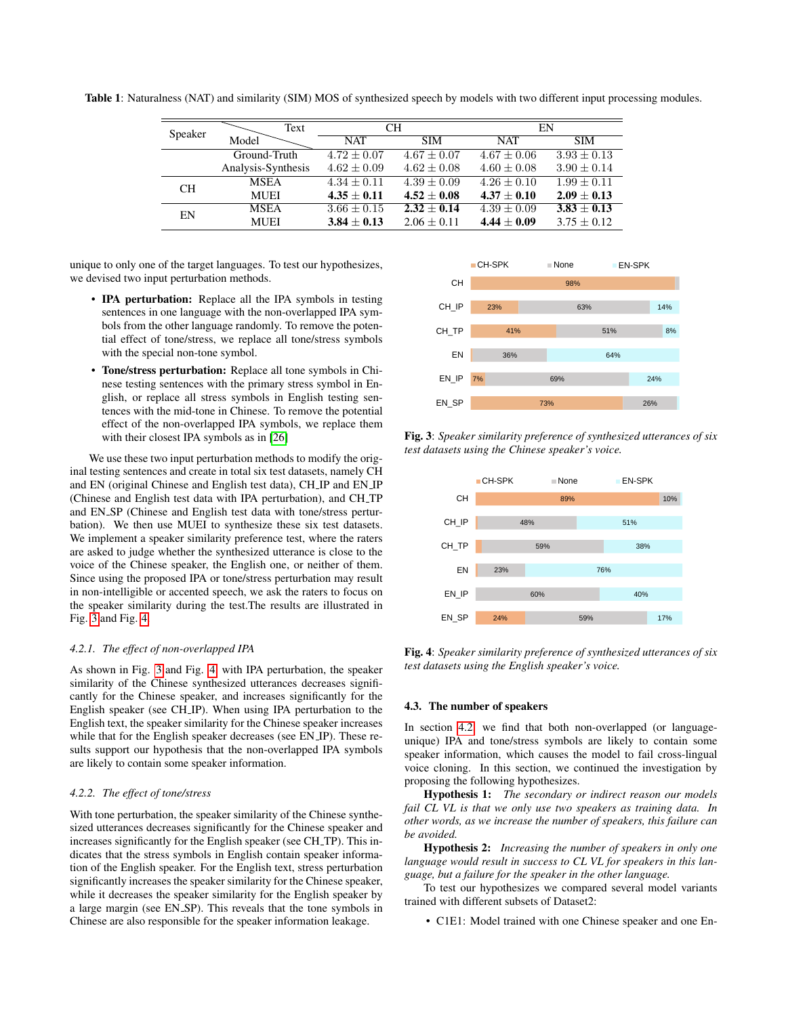<span id="page-2-0"></span>Table 1: Naturalness (NAT) and similarity (SIM) MOS of synthesized speech by models with two different input processing modules.

| Speaker        | <b>CH</b><br>Text  |                 | EN              |                 |                 |
|----------------|--------------------|-----------------|-----------------|-----------------|-----------------|
|                | Model              | <b>NAT</b>      | <b>SIM</b>      | <b>NAT</b>      | <b>SIM</b>      |
|                | Ground-Truth       | $4.72 + 0.07$   | $4.67 + 0.07$   | $4.67 \pm 0.06$ | $3.93 + 0.13$   |
|                | Analysis-Synthesis | $4.62 \pm 0.09$ | $4.62 \pm 0.08$ | $4.60 \pm 0.08$ | $3.90 \pm 0.14$ |
| CH <sub></sub> | <b>MSEA</b>        | $4.34 + 0.11$   | $4.39 + 0.09$   | $4.26 \pm 0.10$ | $1.99 + 0.11$   |
|                | <b>MUEI</b>        | $4.35 + 0.11$   | $4.52 + 0.08$   | $4.37 + 0.10$   | $2.09 \pm 0.13$ |
| EN             | <b>MSEA</b>        | $3.66 \pm 0.15$ | $2.32 + 0.14$   | $4.39 \pm 0.09$ | $3.83 \pm 0.13$ |
|                | <b>MUEI</b>        | $3.84 \pm 0.13$ | $2.06 \pm 0.11$ | $4.44 + 0.09$   | $3.75 + 0.12$   |

unique to only one of the target languages. To test our hypothesizes, we devised two input perturbation methods.

- **IPA perturbation:** Replace all the IPA symbols in testing sentences in one language with the non-overlapped IPA symbols from the other language randomly. To remove the potential effect of tone/stress, we replace all tone/stress symbols with the special non-tone symbol.
- Tone/stress perturbation: Replace all tone symbols in Chinese testing sentences with the primary stress symbol in English, or replace all stress symbols in English testing sentences with the mid-tone in Chinese. To remove the potential effect of the non-overlapped IPA symbols, we replace them with their closest IPA symbols as in [\[26\]](#page-4-20)

We use these two input perturbation methods to modify the original testing sentences and create in total six test datasets, namely CH and EN (original Chinese and English test data), CH IP and EN IP (Chinese and English test data with IPA perturbation), and CH TP and EN SP (Chinese and English test data with tone/stress perturbation). We then use MUEI to synthesize these six test datasets. We implement a speaker similarity preference test, where the raters are asked to judge whether the synthesized utterance is close to the voice of the Chinese speaker, the English one, or neither of them. Since using the proposed IPA or tone/stress perturbation may result in non-intelligible or accented speech, we ask the raters to focus on the speaker similarity during the test.The results are illustrated in Fig. [3](#page-2-1) and Fig. [4.](#page-2-2)

### *4.2.1. The effect of non-overlapped IPA*

As shown in Fig. [3](#page-2-1) and Fig. [4,](#page-2-2) with IPA perturbation, the speaker similarity of the Chinese synthesized utterances decreases significantly for the Chinese speaker, and increases significantly for the English speaker (see CH IP). When using IPA perturbation to the English text, the speaker similarity for the Chinese speaker increases while that for the English speaker decreases (see EN IP). These results support our hypothesis that the non-overlapped IPA symbols are likely to contain some speaker information.

### *4.2.2. The effect of tone/stress*

With tone perturbation, the speaker similarity of the Chinese synthesized utterances decreases significantly for the Chinese speaker and increases significantly for the English speaker (see CH TP). This indicates that the stress symbols in English contain speaker information of the English speaker. For the English text, stress perturbation significantly increases the speaker similarity for the Chinese speaker, while it decreases the speaker similarity for the English speaker by a large margin (see EN SP). This reveals that the tone symbols in Chinese are also responsible for the speaker information leakage.

<span id="page-2-1"></span>

Fig. 3: *Speaker similarity preference of synthesized utterances of six test datasets using the Chinese speaker's voice.*

<span id="page-2-2"></span>

Fig. 4: *Speaker similarity preference of synthesized utterances of six test datasets using the English speaker's voice.*

### 4.3. The number of speakers

In section [4.2,](#page-1-2) we find that both non-overlapped (or languageunique) IPA and tone/stress symbols are likely to contain some speaker information, which causes the model to fail cross-lingual voice cloning. In this section, we continued the investigation by proposing the following hypothesizes.

Hypothesis 1: *The secondary or indirect reason our models fail CL VL is that we only use two speakers as training data. In other words, as we increase the number of speakers, this failure can be avoided.*

Hypothesis 2: *Increasing the number of speakers in only one language would result in success to CL VL for speakers in this language, but a failure for the speaker in the other language.*

To test our hypothesizes we compared several model variants trained with different subsets of Dataset2:

• C1E1: Model trained with one Chinese speaker and one En-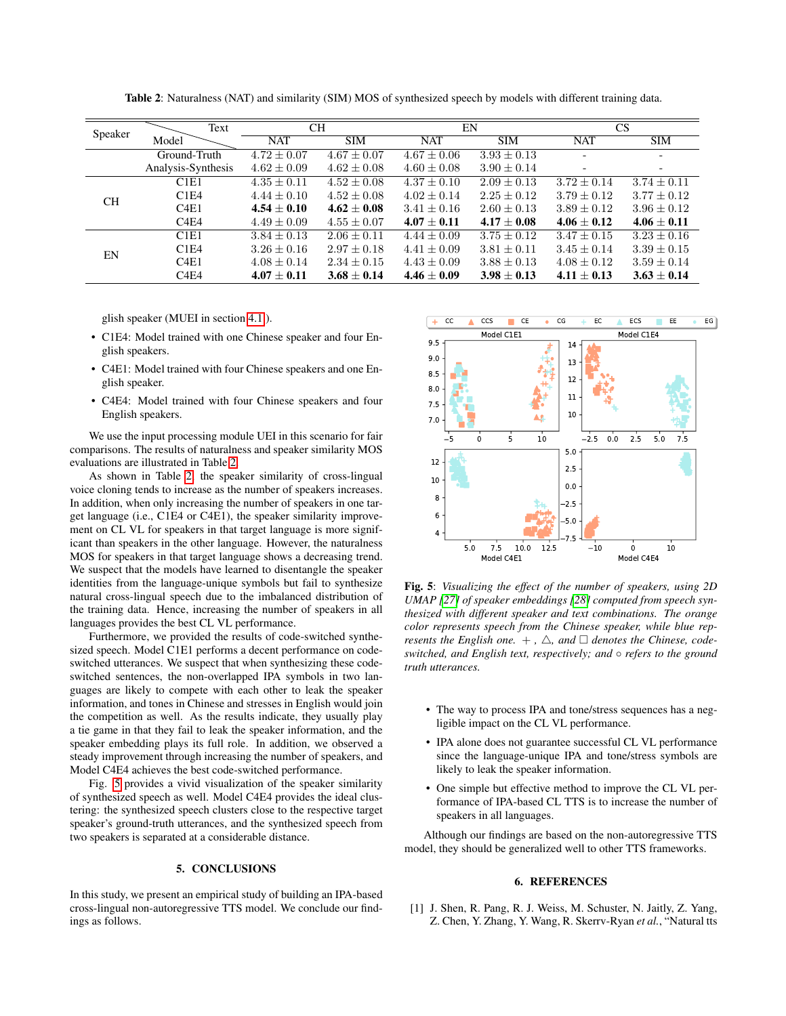<span id="page-3-1"></span>

| Speaker   | Text                          | <b>CH</b>       |                 | EN              |                 | CS                       |                 |
|-----------|-------------------------------|-----------------|-----------------|-----------------|-----------------|--------------------------|-----------------|
|           | Model                         | <b>NAT</b>      | <b>SIM</b>      | <b>NAT</b>      | <b>SIM</b>      | <b>NAT</b>               | <b>SIM</b>      |
|           | Ground-Truth                  | $4.72 \pm 0.07$ | $4.67 \pm 0.07$ | $4.67 \pm 0.06$ | $3.93 \pm 0.13$ |                          |                 |
|           | Analysis-Synthesis            | $4.62 \pm 0.09$ | $4.62 \pm 0.08$ | $4.60 \pm 0.08$ | $3.90 \pm 0.14$ | $\overline{\phantom{a}}$ |                 |
| <b>CH</b> | C1E1                          | $4.35 \pm 0.11$ | $4.52 \pm 0.08$ | $4.37 \pm 0.10$ | $2.09 \pm 0.13$ | $3.72 \pm 0.14$          | $3.74 \pm 0.11$ |
|           | C1E4                          | $4.44 \pm 0.10$ | $4.52 \pm 0.08$ | $4.02 \pm 0.14$ | $2.25 \pm 0.12$ | $3.79 \pm 0.12$          | $3.77 \pm 0.12$ |
|           | C4E1                          | $4.54 \pm 0.10$ | $4.62 + 0.08$   | $3.41 \pm 0.16$ | $2.60 \pm 0.13$ | $3.89 \pm 0.12$          | $3.96 \pm 0.12$ |
|           | C <sub>4</sub> E <sub>4</sub> | $4.49 \pm 0.09$ | $4.55 \pm 0.07$ | $4.07 \pm 0.11$ | $4.17 + 0.08$   | $4.06 \pm 0.12$          | $4.06 \pm 0.11$ |
| EN        | C1E1                          | $3.84 \pm 0.13$ | $2.06 \pm 0.11$ | $4.44 \pm 0.09$ | $3.75 \pm 0.12$ | $3.47 \pm 0.15$          | $3.23 \pm 0.16$ |
|           | C1E4                          | $3.26 \pm 0.16$ | $2.97 \pm 0.18$ | $4.41 \pm 0.09$ | $3.81 \pm 0.11$ | $3.45 \pm 0.14$          | $3.39 \pm 0.15$ |
|           | C4E1                          | $4.08 \pm 0.14$ | $2.34 \pm 0.15$ | $4.43 \pm 0.09$ | $3.88 \pm 0.13$ | $4.08 \pm 0.12$          | $3.59 \pm 0.14$ |
|           | C <sub>4</sub> E <sub>4</sub> | $4.07 \pm 0.11$ | $3.68 \pm 0.14$ | $4.46 \pm 0.09$ | $3.98 \pm 0.13$ | $4.11 \pm 0.13$          | $3.63 \pm 0.14$ |

Table 2: Naturalness (NAT) and similarity (SIM) MOS of synthesized speech by models with different training data.

glish speaker (MUEI in section [4.1](#page-1-3) ).

- C1E4: Model trained with one Chinese speaker and four English speakers.
- C4E1: Model trained with four Chinese speakers and one English speaker.
- C4E4: Model trained with four Chinese speakers and four English speakers.

We use the input processing module UEI in this scenario for fair comparisons. The results of naturalness and speaker similarity MOS evaluations are illustrated in Table [2.](#page-3-1)

As shown in Table [2,](#page-3-1) the speaker similarity of cross-lingual voice cloning tends to increase as the number of speakers increases. In addition, when only increasing the number of speakers in one target language (i.e., C1E4 or C4E1), the speaker similarity improvement on CL VL for speakers in that target language is more significant than speakers in the other language. However, the naturalness MOS for speakers in that target language shows a decreasing trend. We suspect that the models have learned to disentangle the speaker identities from the language-unique symbols but fail to synthesize natural cross-lingual speech due to the imbalanced distribution of the training data. Hence, increasing the number of speakers in all languages provides the best CL VL performance.

Furthermore, we provided the results of code-switched synthesized speech. Model C1E1 performs a decent performance on codeswitched utterances. We suspect that when synthesizing these codeswitched sentences, the non-overlapped IPA symbols in two languages are likely to compete with each other to leak the speaker information, and tones in Chinese and stresses in English would join the competition as well. As the results indicate, they usually play a tie game in that they fail to leak the speaker information, and the speaker embedding plays its full role. In addition, we observed a steady improvement through increasing the number of speakers, and Model C4E4 achieves the best code-switched performance.

Fig. [5](#page-3-2) provides a vivid visualization of the speaker similarity of synthesized speech as well. Model C4E4 provides the ideal clustering: the synthesized speech clusters close to the respective target speaker's ground-truth utterances, and the synthesized speech from two speakers is separated at a considerable distance.

### 5. CONCLUSIONS

In this study, we present an empirical study of building an IPA-based cross-lingual non-autoregressive TTS model. We conclude our findings as follows.

<span id="page-3-2"></span>

Fig. 5: *Visualizing the effect of the number of speakers, using 2D UMAP [\[27\]](#page-4-21) of speaker embeddings [\[28\]](#page-4-22) computed from speech synthesized with different speaker and text combinations. The orange color represents speech from the Chinese speaker, while blue represents the English one.*  $+$ ,  $\triangle$ , and  $\Box$  denotes the Chinese, code*switched, and English text, respectively; and* ◦ *refers to the ground truth utterances.*

- The way to process IPA and tone/stress sequences has a negligible impact on the CL VL performance.
- IPA alone does not guarantee successful CL VL performance since the language-unique IPA and tone/stress symbols are likely to leak the speaker information.
- One simple but effective method to improve the CL VL performance of IPA-based CL TTS is to increase the number of speakers in all languages.

Although our findings are based on the non-autoregressive TTS model, they should be generalized well to other TTS frameworks.

## 6. REFERENCES

<span id="page-3-0"></span>[1] J. Shen, R. Pang, R. J. Weiss, M. Schuster, N. Jaitly, Z. Yang, Z. Chen, Y. Zhang, Y. Wang, R. Skerrv-Ryan *et al.*, "Natural tts